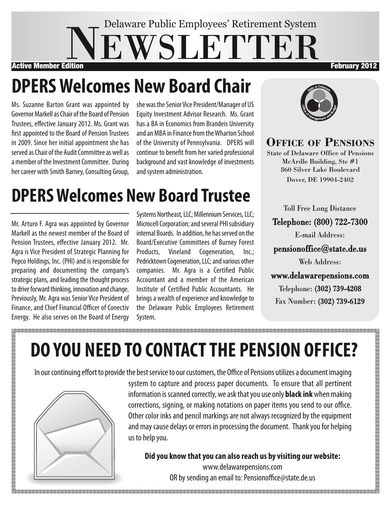## EWSLETTEI Delaware Public Employees' Retirement System Active Member Edition **February 2012**

# **DPERSWelcomes New Board Chair**

Ms. Suzanne Barton Grant was appointed by Governor Markell as Chair of the Board of Pension Trustees, effective January 2012. Ms. Grant was first appointed to the Board of Pension Trustees in 2009. Since her initial appointment she has served as Chair of the Audit Committee as well as a member of the Investment Committee. During her career with Smith Barney, Consulting Group,

she was the Senior Vice President/Manager of US Equity Investment Advisor Research. Ms. Grant has a BA in Economics from Brandeis University and an MBA in Finance from the Wharton School of the University of Pennsylvania. DPERS will continue to benefit from her varied professional background and vast knowledge of investments and system administration.

# **DPERSWelcomes New Board Trustee**

Mr. Arturo F. Agra was appointed by Governor Markell as the newest member of the Board of Pension Trustees, effective January 2012. Mr. Agra is Vice President of Strategic Planning for Pepco Holdings, Inc. (PHI) and is responsible for preparing and documenting the company's strategic plans, and leading the thought process to drive forward thinking, innovation and change. Previously, Mr. Agra was Senior Vice President of Finance, and Chief Financial Officer of Conectiv Energy. He also serves on the Board of Energy Systems Northeast, LLC; Millennium Services, LLC; Microcell Corporation; and several PHI subsidiary internal Boards. In addition, he has served on the Board/Executive Committees of Burney Forest Products, Vineland Cogeneration, Inc.; Pedricktown Cogeneration, LLC; and various other companies. Mr. Agra is a Certified Public Accountant and a member of the American Institute of Certified Public Accountants. He brings a wealth of experience and knowledge to the Delaware Public Employees Retirement System.



**Office Of PensiOns**

State of Delaware Office of Pensions McArdle Building, Ste #1 860 Silver Lake Boulevard Dover, DE 19904-2402

Toll Free Long Distance Telephone: (800) 722-7300 E-mail Address: pensionoffice@state.de.us Web Address: www.delawarepensions.com Telephone: (302) 739-4208

Fax Number: (302) 739-6129

# **DO YOU NEED TO CONTACTTHE PENSION OFFICE?**

In our continuing effort to provide the best service to our customers, the Office of Pensions utilizes a document imaging



system to capture and process paper documents. To ensure that all pertinent information is scanned correctly, we ask that you use only **black ink** when making corrections, signing, or making notations on paper items you send to our office. Other color inks and pencil markings are not always recognized by the equipment and may cause delays or errors in processing the document. Thank you for helping

**Did you know thatyou can also reach us byvisiting our website:** www.delawarepensions.com OR by sending an email to: Pensionoffice@state.de.us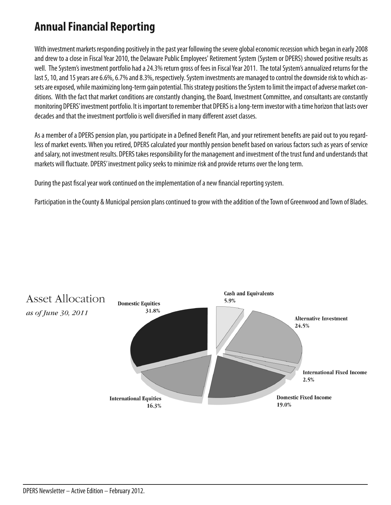#### **Annual Financial Reporting**

With investment markets responding positively in the past year following the severe global economic recession which began in early 2008 and drew to a close in Fiscal Year 2010, the Delaware Public Employees' Retirement System (System or DPERS) showed positive results as well. The System's investment portfolio had a 24.3% return gross of fees in Fiscal Year 2011. The total System's annualized returns for the last 5, 10, and 15 years are 6.6%, 6.7% and 8.3%, respectively. System investments are managed to control the downside risk to which assets are exposed, while maximizing long-term gain potential. This strategy positions the System to limit the impact of adverse market conditions. With the fact that market conditions are constantly changing, the Board, Investment Committee, and consultants are constantly monitoring DPERS' investment portfolio. It is important to remember that DPERS is a long-term investor with a time horizon that lasts over decades and that the investment portfolio is well diversified in many different asset classes.

As a member of a DPERS pension plan, you participate in a Defined Benefit Plan, and your retirement benefits are paid out to you regardless of market events. When you retired, DPERS calculated your monthly pension benefit based on various factors such as years of service and salary, not investment results. DPERS takes responsibility for the management and investment of the trust fund and understands that markets will fluctuate. DPERS' investment policy seeks to minimize risk and provide returns over the long term.

During the past fiscal year work continued on the implementation of a new financial reporting system.

Participation in the County & Municipal pension plans continued to grow with the addition of the Town of Greenwood and Town of Blades.

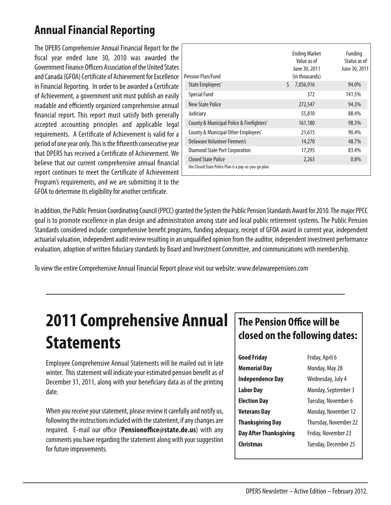#### **AnnualFinancial Reporting**

The DPERS Comprehensive Annual Financial Report for the fiscal year ended June 30, 2010 was awarded the Government Finance Officers Association of the United States and Canada (GFOA) Certificate of Achievement for Excellence in Financial Reporting. In order to be awarded a Certificate of Achievement, a government unit must publish an easily readable and efficiently organized comprehensive annual financial report. This report must satisfy both generally accepted accounting principles and applicable legal requirements. A Certificate of Achievement is valid for a period of one year only. This is the fifteenth consecutive year that DPERS has received a Certificate of Achievement. We believe that our current comprehensive annual financial report continues to meet the Certificate of Achievement Program's requirements, and we are submitting it to the GFOA to determine its eligibility for another certificate.

| Pension Plan/Fund                                                                   | <b>Ending Market</b><br>Value as of<br>June 30, 2011<br>(in thousands) | Funding<br>Status as of<br>June 30, 2011 |
|-------------------------------------------------------------------------------------|------------------------------------------------------------------------|------------------------------------------|
| State Employees'                                                                    | Ś.<br>7,056,916                                                        | 94.0%                                    |
| <b>Special Fund</b>                                                                 | 372                                                                    | 141.5%                                   |
| New State Police                                                                    | 272,547                                                                | 94.3%                                    |
| Judiciary                                                                           | 55,810                                                                 | 88.4%                                    |
| County & Municipal Police & Firefighters'                                           | 161,180                                                                | 98.3%                                    |
| County & Municipal Other Employees'                                                 | 21,615                                                                 | 90.4%                                    |
| Delaware Volunteer Firemen's                                                        | 14,270                                                                 | 48.7%                                    |
| Diamond State Port Corporation                                                      | 17,295                                                                 | 83.4%                                    |
| <b>Closed State Police</b><br>the Closed State Police Plan is a pay-as-you-go plan. | 2,263                                                                  | 0.8%                                     |

In addition, the Public Pension Coordinating Council (PPCC) granted the System the Public Pension Standards Award for 2010. The major PPCC goal is to promote excellence in plan design and administration among state and local public retirement systems.The Public Pension Standards considered include: comprehensive benefit programs, funding adequacy, receipt of GFOA award in current year, independent actuarial valuation, independent audit review resulting in an unqualified opinion from the auditor, independent investment performance evaluation, adoption of written fiduciary standards by Board and Investment Committee, and communications with membership.

To view the entire Comprehensive Annual Financial Report please visit our website: www.delawarepensions.com

## **2011 Comprehensive Annual Statements**

Employee Comprehensive Annual Statements will be mailed out in late winter. This statement will indicate your estimated pension benefit as of December 31, 2011, along with your beneficiary data as of the printing date.

When you receive your statement, please review it carefully and notify us, following the instructions included with the statement, if any changes are required. E-mail our office (**Pensionoffice@state.de.us**) with any comments you have regarding the statement along with your suggestion for future improvements.

#### **The Pension Office will be closed on the following dates:**

| <b>Good Friday</b>            | Friday, April 6       |  |
|-------------------------------|-----------------------|--|
| <b>Memorial Day</b>           | Monday, May 28        |  |
| <b>Independence Day</b>       | Wednesday, July 4     |  |
| <b>Labor Day</b>              | Monday, September 3   |  |
| <b>Election Day</b>           | Tuesday, November 6   |  |
| <b>Veterans Day</b>           | Monday, November 12   |  |
| <b>Thanksgiving Day</b>       | Thursday, November 22 |  |
| <b>Day After Thanksgiving</b> | Friday, November 23   |  |
| Christmas                     | Tuesday, December 25  |  |
|                               |                       |  |